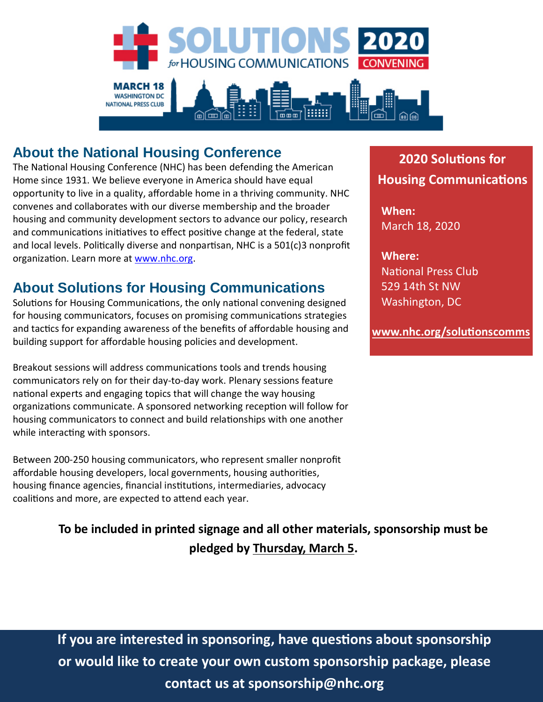

#### **About the National Housing Conference**

The National Housing Conference (NHC) has been defending the American Home since 1931. We believe everyone in America should have equal opportunity to live in a quality, affordable home in a thriving community. NHC convenes and collaborates with our diverse membership and the broader housing and community development sectors to advance our policy, research and communications initiatives to effect positive change at the federal, state and local levels. Politically diverse and nonpartisan, NHC is a  $501(c)3$  nonprofit organization. Learn more at [www.nhc.org.](http://www.nhc.org/)

#### **About Solutions for Housing Communications**

Solutions for Housing Communications, the only national convening designed for housing communicators, focuses on promising communications strategies and tactics for expanding awareness of the benefits of affordable housing and building support for affordable housing policies and development.

Breakout sessions will address communications tools and trends housing communicators rely on for their day-to-day work. Plenary sessions feature national experts and engaging topics that will change the way housing organizations communicate. A sponsored networking reception will follow for housing communicators to connect and build relationships with one another while interacting with sponsors.

Between 200-250 housing communicators, who represent smaller nonprofit affordable housing developers, local governments, housing authorities, housing finance agencies, financial institutions, intermediaries, advocacy coalitions and more, are expected to attend each year.

> **To be included in printed signage and all other materials, sponsorship must be pledged by Thursday, March 5.**

#### **2020 Solu�ons for Housing Communications**

**When:** March 18, 2020

**Where: National Press Club** 529 14th St NW Washington, DC

**[www.nhc.org/solu�ons](https://www.nhc.org/event/solutions-for-housing-communications2020/)comms**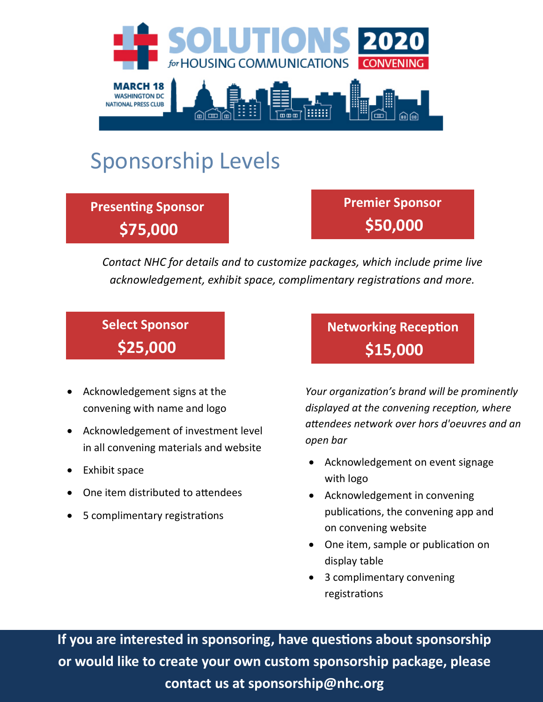

# Sponsorship Levels

**Presenting Sponsor \$75,000** 

**Premier Sponsor \$50,000** 

*Contact NHC for details and to customize packages, which include prime live acknowledgement, exhibit space, complimentary registrations and more.*

## **Select Sponsor \$25,000**

- Acknowledgement signs at the convening with name and logo
- Acknowledgement of investment level in all convening materials and website
- Exhibit space
- One item distributed to attendees
- 5 complimentary registrations

**Networking Reception \$15,000** 

*Your organization's brand will be prominently displayed at the convening reception, where attendees network over hors d'oeuvres and an open bar*

- Acknowledgement on event signage with logo
- Acknowledgement in convening publications, the convening app and on convening website
- One item, sample or publication on display table
- 3 complimentary convening registrations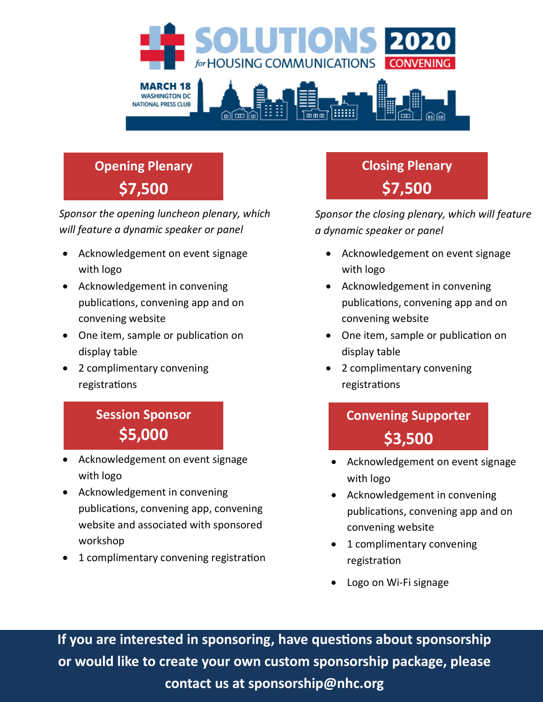

# **Opening Plenary \$7,500**

*Sponsor the opening luncheon plenary, which will feature a dynamic speaker or panel*

- Acknowledgement on event signage with logo
- Acknowledgement in convening publications, convening app and on convening website
- One item, sample or publication on display table
- 2 complimentary convening registrations

## **Session Sponsor \$5,000**

- Acknowledgement on event signage with logo
- Acknowledgement in convening publications, convening app, convening website and associated with sponsored workshop
- 1 complimentary convening registration

**Closing Plenary \$7,500** 

*Sponsor the closing plenary, which will feature a dynamic speaker or panel*

- Acknowledgement on event signage with logo
- Acknowledgement in convening publications, convening app and on convening website
- One item, sample or publication on display table
- 2 complimentary convening registrations

# **Convening Supporter \$3,500**

- Acknowledgement on event signage with logo
- Acknowledgement in convening publications, convening app and on convening website
- 1 complimentary convening registration
- Logo on Wi-Fi signage